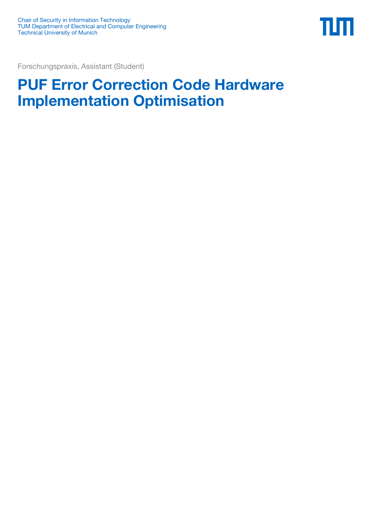

Forschungspraxis, Assistant (Student)

## **PUF Error Correction Code Hardware Implementation Optimisation**